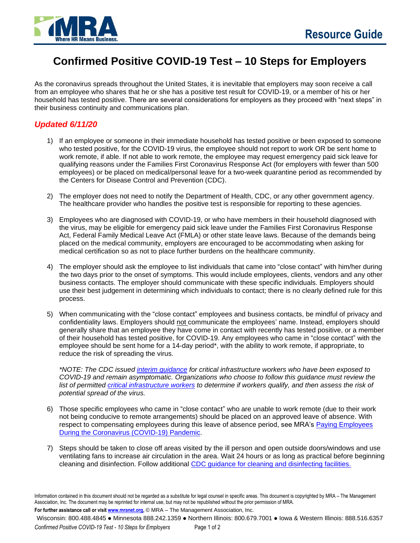## **Confirmed Positive COVID-19 Test – 10 Steps for Employers**

As the coronavirus spreads throughout the United States, it is inevitable that employers may soon receive a call from an employee who shares that he or she has a positive test result for COVID-19, or a member of his or her household has tested positive. There are several considerations for employers as they proceed with "next steps" in their business continuity and communications plan.

## *Updated 6/11/20*

- 1) If an employee or someone in their immediate household has tested positive or been exposed to someone who tested positive, for the COVID-19 virus, the employee should not report to work OR be sent home to work remote, if able. If not able to work remote, the employee may request emergency paid sick leave for qualifying reasons under the Families First Coronavirus Response Act (for employers with fewer than 500 employees) or be placed on medical/personal leave for a two-week quarantine period as recommended by the Centers for Disease Control and Prevention (CDC).
- 2) The employer does not need to notify the Department of Health, CDC, or any other government agency. The healthcare provider who handles the positive test is responsible for reporting to these agencies.
- 3) Employees who are diagnosed with COVID-19, or who have members in their household diagnosed with the virus, may be eligible for emergency paid sick leave under the Families First Coronavirus Response Act, Federal Family Medical Leave Act (FMLA) or other state leave laws. Because of the demands being placed on the medical community, employers are encouraged to be accommodating when asking for medical certification so as not to place further burdens on the healthcare community.
- 4) The employer should ask the employee to list individuals that came into "close contact" with him/her during the two days prior to the onset of symptoms. This would include employees, clients, vendors and any other business contacts. The employer should communicate with these specific individuals. Employers should use their best judgement in determining which individuals to contact; there is no clearly defined rule for this process.
- 5) When communicating with the "close contact" employees and business contacts, be mindful of privacy and confidentiality laws. Employers should not communicate the employees' name. Instead, employers should generally share that an employee they have come in contact with recently has tested positive, or a member of their household has tested positive, for COVID-19. Any employees who came in "close contact" with the employee should be sent home for a 14-day period\*, with the ability to work remote, if appropriate, to reduce the risk of spreading the virus.

*\*NOTE: The CDC issued [interim guidance](https://www.cdc.gov/coronavirus/2019-ncov/community/critical-workers/implementing-safety-practices.html) for critical infrastructure workers who have been exposed to COVID-19 and remain asymptomatic. Organizations who choose to follow this guidance must review the list of permitted [critical infrastructure workers](https://www.cisa.gov/identifying-critical-infrastructure-during-covid-19) to determine if workers qualify, and then assess the risk of potential spread of the virus.*

- 6) Those specific employees who came in "close contact" who are unable to work remote (due to their work not being conducive to remote arrangements) should be placed on an approved leave of absence. With respect to compensating employees during this leave of absence period, see MRA's [Paying Employees](https://www.mranet.org/resource/paying-employees-during-coronavirus-covid-19-pandemic) [During the Coronavirus \(COVID-19\) Pandemic.](https://www.mranet.org/resource/paying-employees-during-coronavirus-covid-19-pandemic)
- 7) Steps should be taken to close off areas visited by the ill person and open outside doors/windows and use ventilating fans to increase air circulation in the area. Wait 24 hours or as long as practical before beginning cleaning and disinfection. Follow additional [CDC guidance for cleaning and disinfecting](https://www.cdc.gov/coronavirus/2019-ncov/community/organizations/cleaning-disinfection.html) facilities.

**For further assistance call or visi[t www.mranet.org,](http://www.mranet.org/)** © MRA – The Management Association, Inc.

```
Wisconsin: 800.488.4845 ● Minnesota 888.242.1359 ● Northern Illinois: 800.679.7001 ● Iowa & Western Illinois: 888.516.6357
```
*Confirmed Positive COVID-19 Test - 10 Steps for Employers* Page 1 of 2

Information contained in this document should not be regarded as a substitute for legal counsel in specific areas. This document is copyrighted by MRA – The Management Association, Inc. The document may be reprinted for internal use, but may not be republished without the prior permission of MRA.